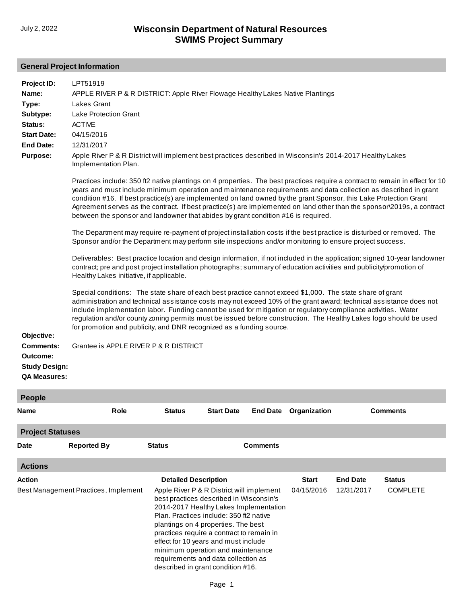# **General Project Information**

| Project ID:<br>Name:<br>Type:<br>Subtype:<br>Status:<br><b>Start Date:</b><br><b>End Date:</b><br><b>Purpose:</b> | LPT51919<br>APPLE RIVER P & R DISTRICT: Apple River Flowage Healthy Lakes Native Plantings<br><b>Lakes Grant</b><br><b>Lake Protection Grant</b><br><b>ACTIVE</b><br>04/15/2016<br>12/31/2017<br>Apple River P & R District will implement best practices described in Wisconsin's 2014-2017 Healthy Lakes<br>Implementation Plan.                                                                                                                                                                                                                                                   |                                                                                                                                                                                                                                                                                                                                                                           |                   |                 |                            |                               |                                  |
|-------------------------------------------------------------------------------------------------------------------|--------------------------------------------------------------------------------------------------------------------------------------------------------------------------------------------------------------------------------------------------------------------------------------------------------------------------------------------------------------------------------------------------------------------------------------------------------------------------------------------------------------------------------------------------------------------------------------|---------------------------------------------------------------------------------------------------------------------------------------------------------------------------------------------------------------------------------------------------------------------------------------------------------------------------------------------------------------------------|-------------------|-----------------|----------------------------|-------------------------------|----------------------------------|
|                                                                                                                   | Practices include: 350 ft2 native plantings on 4 properties. The best practices require a contract to remain in effect for 10<br>years and must include minimum operation and maintenance requirements and data collection as described in grant<br>condition #16. If best practice(s) are implemented on land owned by the grant Sponsor, this Lake Protection Grant<br>Agreement serves as the contract. If best practice(s) are implemented on land other than the sponsor\2019s, a contract<br>between the sponsor and landowner that abides by grant condition #16 is required. |                                                                                                                                                                                                                                                                                                                                                                           |                   |                 |                            |                               |                                  |
|                                                                                                                   | The Department may require re-payment of project installation costs if the best practice is disturbed or removed. The<br>Sponsor and/or the Department may perform site inspections and/or monitoring to ensure project success.                                                                                                                                                                                                                                                                                                                                                     |                                                                                                                                                                                                                                                                                                                                                                           |                   |                 |                            |                               |                                  |
|                                                                                                                   | Deliverables: Best practice location and design information, if not included in the application; signed 10-year landowner<br>contract; pre and post project installation photographs; summary of education activities and publicity/promotion of<br>Healthy Lakes initiative, if applicable.                                                                                                                                                                                                                                                                                         |                                                                                                                                                                                                                                                                                                                                                                           |                   |                 |                            |                               |                                  |
| Objective:                                                                                                        | Special conditions: The state share of each best practice cannot exceed \$1,000. The state share of grant<br>administration and technical assistance costs may not exceed 10% of the grant award; technical assistance does not<br>include implementation labor. Funding cannot be used for mitigation or regulatory compliance activities. Water<br>regulation and/or county zoning permits must be issued before construction. The Healthy Lakes logo should be used<br>for promotion and publicity, and DNR recognized as a funding source.                                       |                                                                                                                                                                                                                                                                                                                                                                           |                   |                 |                            |                               |                                  |
| Comments:<br>Outcome:<br><b>Study Design:</b><br><b>QA Measures:</b>                                              | Grantee is APPLE RIVER P & R DISTRICT                                                                                                                                                                                                                                                                                                                                                                                                                                                                                                                                                |                                                                                                                                                                                                                                                                                                                                                                           |                   |                 |                            |                               |                                  |
| <b>People</b>                                                                                                     |                                                                                                                                                                                                                                                                                                                                                                                                                                                                                                                                                                                      |                                                                                                                                                                                                                                                                                                                                                                           |                   |                 |                            |                               |                                  |
| Name                                                                                                              | Role                                                                                                                                                                                                                                                                                                                                                                                                                                                                                                                                                                                 | <b>Status</b>                                                                                                                                                                                                                                                                                                                                                             | <b>Start Date</b> | <b>End Date</b> | Organization               |                               | <b>Comments</b>                  |
| <b>Project Statuses</b>                                                                                           |                                                                                                                                                                                                                                                                                                                                                                                                                                                                                                                                                                                      |                                                                                                                                                                                                                                                                                                                                                                           |                   |                 |                            |                               |                                  |
| Date                                                                                                              | <b>Reported By</b>                                                                                                                                                                                                                                                                                                                                                                                                                                                                                                                                                                   | <b>Status</b>                                                                                                                                                                                                                                                                                                                                                             |                   | <b>Comments</b> |                            |                               |                                  |
| <b>Actions</b>                                                                                                    |                                                                                                                                                                                                                                                                                                                                                                                                                                                                                                                                                                                      |                                                                                                                                                                                                                                                                                                                                                                           |                   |                 |                            |                               |                                  |
| Action                                                                                                            | Best Management Practices, Implement                                                                                                                                                                                                                                                                                                                                                                                                                                                                                                                                                 | <b>Detailed Description</b><br>Apple River P & R District will implement<br>best practices described in Wisconsin's<br>2014-2017 Healthy Lakes Implementation<br>Plan, Practices include: 350 ft2 native<br>plantings on 4 properties. The best<br>practices require a contract to remain in<br>effect for 10 years and must include<br>minimum operation and maintenance |                   |                 | <b>Start</b><br>04/15/2016 | <b>End Date</b><br>12/31/2017 | <b>Status</b><br><b>COMPLETE</b> |

requirements and data collection as described in grant condition #16.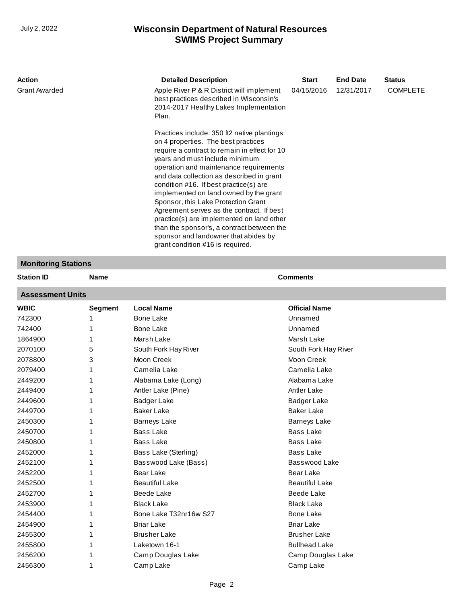| <b>Action</b>        | <b>Detailed Description</b>                                                                                                                                                                                                                                                                                                                                                                                                                                                                                                                                                                                 | <b>Start</b> | <b>End Date</b> | <b>Status</b>   |
|----------------------|-------------------------------------------------------------------------------------------------------------------------------------------------------------------------------------------------------------------------------------------------------------------------------------------------------------------------------------------------------------------------------------------------------------------------------------------------------------------------------------------------------------------------------------------------------------------------------------------------------------|--------------|-----------------|-----------------|
| <b>Grant Awarded</b> | Apple River P & R District will implement<br>best practices described in Wisconsin's<br>2014-2017 Healthy Lakes Implementation<br>Plan.                                                                                                                                                                                                                                                                                                                                                                                                                                                                     | 04/15/2016   | 12/31/2017      | <b>COMPLETE</b> |
|                      | Practices include: 350 ft2 native plantings<br>on 4 properties. The best practices<br>require a contract to remain in effect for 10<br>years and must include minimum<br>operation and maintenance requirements<br>and data collection as described in grant<br>condition #16. If best practice(s) are<br>implemented on land owned by the grant<br>Sponsor, this Lake Protection Grant<br>Agreement serves as the contract. If best<br>practice(s) are implemented on land other<br>than the sponsor's, a contract between the<br>sponsor and landowner that abides by<br>grant condition #16 is required. |              |                 |                 |

# **Monitoring Stations**

| <b>Station ID</b>       | <b>Name</b>    |                        | <b>Comments</b>       |  |  |  |  |
|-------------------------|----------------|------------------------|-----------------------|--|--|--|--|
| <b>Assessment Units</b> |                |                        |                       |  |  |  |  |
| <b>WBIC</b>             | <b>Segment</b> | <b>Local Name</b>      | <b>Official Name</b>  |  |  |  |  |
| 742300                  |                | <b>Bone Lake</b>       | Unnamed               |  |  |  |  |
| 742400                  |                | <b>Bone Lake</b>       | Unnamed               |  |  |  |  |
| 1864900                 |                | Marsh Lake             | Marsh Lake            |  |  |  |  |
| 2070100                 | 5              | South Fork Hay River   | South Fork Hay River  |  |  |  |  |
| 2078800                 | 3              | Moon Creek             | Moon Creek            |  |  |  |  |
| 2079400                 |                | Camelia Lake           | Camelia Lake          |  |  |  |  |
| 2449200                 |                | Alabama Lake (Long)    | Alabama Lake          |  |  |  |  |
| 2449400                 |                | Antler Lake (Pine)     | <b>Antler Lake</b>    |  |  |  |  |
| 2449600                 |                | <b>Badger Lake</b>     | <b>Badger Lake</b>    |  |  |  |  |
| 2449700                 |                | <b>Baker Lake</b>      | <b>Baker Lake</b>     |  |  |  |  |
| 2450300                 |                | <b>Barneys Lake</b>    | <b>Barneys Lake</b>   |  |  |  |  |
| 2450700                 |                | <b>Bass Lake</b>       | <b>Bass Lake</b>      |  |  |  |  |
| 2450800                 |                | <b>Bass Lake</b>       | <b>Bass Lake</b>      |  |  |  |  |
| 2452000                 |                | Bass Lake (Sterling)   | Bass Lake             |  |  |  |  |
| 2452100                 |                | Basswood Lake (Bass)   | Basswood Lake         |  |  |  |  |
| 2452200                 |                | Bear Lake              | <b>Bear Lake</b>      |  |  |  |  |
| 2452500                 |                | <b>Beautiful Lake</b>  | <b>Beautiful Lake</b> |  |  |  |  |
| 2452700                 |                | <b>Beede Lake</b>      | <b>Beede Lake</b>     |  |  |  |  |
| 2453900                 |                | <b>Black Lake</b>      | <b>Black Lake</b>     |  |  |  |  |
| 2454400                 |                | Bone Lake T32nr16w S27 | Bone Lake             |  |  |  |  |
| 2454900                 |                | <b>Briar Lake</b>      | <b>Briar Lake</b>     |  |  |  |  |
| 2455300                 | 1              | <b>Brusher Lake</b>    | <b>Brusher Lake</b>   |  |  |  |  |
| 2455800                 | 1              | Laketown 16-1          | <b>Bullhead Lake</b>  |  |  |  |  |
| 2456200                 | 1              | Camp Douglas Lake      | Camp Douglas Lake     |  |  |  |  |
| 2456300                 | 1              | Camp Lake              | Camp Lake             |  |  |  |  |

T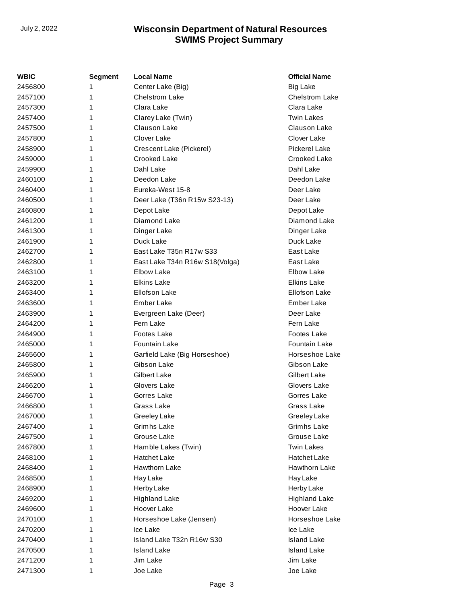| WBIC    | <b>Segment</b> | <b>Local Name</b>              | <b>Official Name</b>  |
|---------|----------------|--------------------------------|-----------------------|
| 2456800 | 1              | Center Lake (Big)              | <b>Big Lake</b>       |
| 2457100 | 1              | <b>Chelstrom Lake</b>          | <b>Chelstrom Lake</b> |
| 2457300 | 1              | Clara Lake                     | Clara Lake            |
| 2457400 | 1              | Clarey Lake (Twin)             | <b>Twin Lakes</b>     |
| 2457500 | 1              | Clauson Lake                   | Clauson Lake          |
| 2457800 | 1              | Clover Lake                    | Clover Lake           |
| 2458900 | 1              | Crescent Lake (Pickerel)       | Pickerel Lake         |
| 2459000 | 1              | Crooked Lake                   | Crooked Lake          |
| 2459900 | 1              | Dahl Lake                      | Dahl Lake             |
| 2460100 | 1              | Deedon Lake                    | Deedon Lake           |
| 2460400 | 1              | Eureka-West 15-8               | Deer Lake             |
| 2460500 | 1              | Deer Lake (T36n R15w S23-13)   | Deer Lake             |
| 2460800 | 1              | Depot Lake                     | Depot Lake            |
| 2461200 | 1              | Diamond Lake                   | Diamond Lake          |
| 2461300 | 1              | Dinger Lake                    | Dinger Lake           |
| 2461900 | 1              | Duck Lake                      | Duck Lake             |
| 2462700 | 1              | East Lake T35n R17w S33        | East Lake             |
| 2462800 | 1              | East Lake T34n R16w S18(Volga) | East Lake             |
| 2463100 | 1              | Elbow Lake                     | Elbow Lake            |
| 2463200 | 1              | <b>Elkins Lake</b>             | <b>Elkins Lake</b>    |
| 2463400 | 1              | Ellofson Lake                  | Ellofson Lake         |
| 2463600 | 1              | Ember Lake                     | Ember Lake            |
| 2463900 | 1              | Evergreen Lake (Deer)          | Deer Lake             |
| 2464200 | 1              | Fern Lake                      | Fern Lake             |
| 2464900 | 1              | Footes Lake                    | Footes Lake           |
| 2465000 | 1              | Fountain Lake                  | Fountain Lake         |
| 2465600 | 1              | Garfield Lake (Big Horseshoe)  | Horseshoe Lake        |
| 2465800 | 1              | Gibson Lake                    | Gibson Lake           |
| 2465900 | 1              | <b>Gilbert Lake</b>            | Gilbert Lake          |
| 2466200 | 1              | Glovers Lake                   | Glovers Lake          |
| 2466700 | 1              | Gorres Lake                    | Gorres Lake           |
| 2466800 | 1              | Grass Lake                     | Grass Lake            |
| 2467000 | 1              | Greeley Lake                   | Greeley Lake          |
| 2467400 | 1              | Grimhs Lake                    | Grimhs Lake           |
| 2467500 | 1              | Grouse Lake                    | Grouse Lake           |
| 2467800 | 1              | Hamble Lakes (Twin)            | <b>Twin Lakes</b>     |
| 2468100 | 1              | Hatchet Lake                   | Hatchet Lake          |
| 2468400 | 1              | <b>Hawthorn Lake</b>           | Hawthorn Lake         |
| 2468500 | 1              | Hay Lake                       | Hay Lake              |
| 2468900 | 1              | Herby Lake                     | Herby Lake            |
| 2469200 | 1              | <b>Highland Lake</b>           | <b>Highland Lake</b>  |
| 2469600 | 1              | Hoover Lake                    | Hoover Lake           |
| 2470100 | 1              | Horseshoe Lake (Jensen)        | Horseshoe Lake        |
| 2470200 | 1              | Ice Lake                       | Ice Lake              |
| 2470400 | 1              | Island Lake T32n R16w S30      | <b>Island Lake</b>    |
| 2470500 | 1              | <b>Island Lake</b>             | <b>Island Lake</b>    |
| 2471200 | 1              | Jim Lake                       | Jim Lake              |
| 2471300 | 1              | Joe Lake                       | Joe Lake              |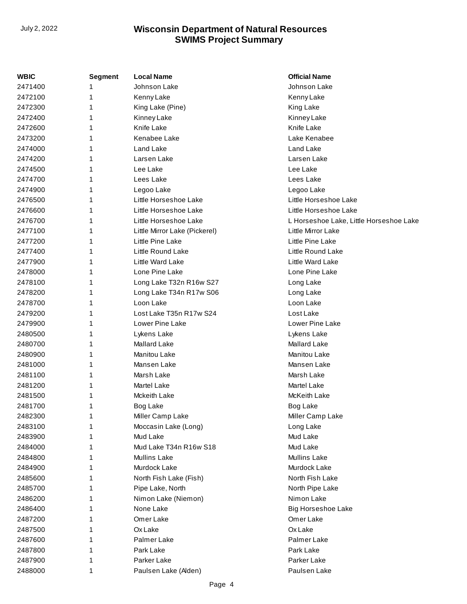| <b>WBIC</b> | Segment | <b>Local Name</b>             | <b>Official Name</b>                    |
|-------------|---------|-------------------------------|-----------------------------------------|
| 2471400     | 1       | Johnson Lake                  | Johnson Lake                            |
| 2472100     | 1       | Kenny Lake                    | Kenny Lake                              |
| 2472300     | 1       | King Lake (Pine)              | King Lake                               |
| 2472400     | 1       | Kinney Lake                   | Kinney Lake                             |
| 2472600     | 1       | Knife Lake                    | Knife Lake                              |
| 2473200     | 1       | Kenabee Lake                  | Lake Kenabee                            |
| 2474000     | 1       | Land Lake                     | Land Lake                               |
| 2474200     | 1       | Larsen Lake                   | Larsen Lake                             |
| 2474500     | 1       | Lee Lake                      | Lee Lake                                |
| 2474700     | 1       | Lees Lake                     | Lees Lake                               |
| 2474900     | 1       | Legoo Lake                    | Legoo Lake                              |
| 2476500     | 1       | Little Horseshoe Lake         | Little Horseshoe Lake                   |
| 2476600     | 1       | Little Horseshoe Lake         | Little Horseshoe Lake                   |
| 2476700     | 1       | Little Horseshoe Lake         | L Horseshoe Lake, Little Horseshoe Lake |
| 2477100     | 1       | Little Mirror Lake (Pickerel) | Little Mirror Lake                      |
| 2477200     | 1       | Little Pine Lake              | Little Pine Lake                        |
| 2477400     | 1       | Little Round Lake             | Little Round Lake                       |
| 2477900     | 1       | <b>Little Ward Lake</b>       | Little Ward Lake                        |
| 2478000     | 1       | Lone Pine Lake                | Lone Pine Lake                          |
| 2478100     | 1       | Long Lake T32n R16w S27       | Long Lake                               |
| 2478200     | 1       | Long Lake T34n R17w S06       | Long Lake                               |
| 2478700     | 1       | Loon Lake                     | Loon Lake                               |
| 2479200     | 1       | Lost Lake T35n R17w S24       | Lost Lake                               |
| 2479900     | 1       | Lower Pine Lake               | Lower Pine Lake                         |
| 2480500     | 1       | Lykens Lake                   | Lykens Lake                             |
| 2480700     | 1       | <b>Mallard Lake</b>           | <b>Mallard Lake</b>                     |
| 2480900     | 1       | <b>Manitou Lake</b>           | <b>Manitou Lake</b>                     |
| 2481000     | 1       | Mansen Lake                   | Mansen Lake                             |
| 2481100     | 1       | Marsh Lake                    | Marsh Lake                              |
| 2481200     | 1       | Martel Lake                   | <b>Martel Lake</b>                      |
| 2481500     | 1       | <b>Mckeith Lake</b>           | <b>McKeith Lake</b>                     |
| 2481700     | 1       | Bog Lake                      | Bog Lake                                |
| 2482300     | 1       | Miller Camp Lake              | Miller Camp Lake                        |
| 2483100     | 1       | Moccasin Lake (Long)          | Long Lake                               |
| 2483900     | 1       | Mud Lake                      | Mud Lake                                |
| 2484000     | 1       | Mud Lake T34n R16w S18        | Mud Lake                                |
| 2484800     | 1       | <b>Mullins Lake</b>           | <b>Mullins Lake</b>                     |
| 2484900     | 1       | Murdock Lake                  | Murdock Lake                            |
| 2485600     | 1       | North Fish Lake (Fish)        | North Fish Lake                         |
| 2485700     | 1       | Pipe Lake, North              | North Pipe Lake                         |
| 2486200     | 1       | Nimon Lake (Niemon)           | Nimon Lake                              |
| 2486400     | 1       | None Lake                     | <b>Big Horseshoe Lake</b>               |
| 2487200     | 1       | Omer Lake                     | Omer Lake                               |
| 2487500     | 1       | Ox Lake                       | OxLake                                  |
| 2487600     | 1       | Palmer Lake                   | Palmer Lake                             |
| 2487800     | 1       | Park Lake                     | Park Lake                               |
| 2487900     | 1       | Parker Lake                   | Parker Lake                             |
| 2488000     | 1       | Paulsen Lake (Alden)          | Paulsen Lake                            |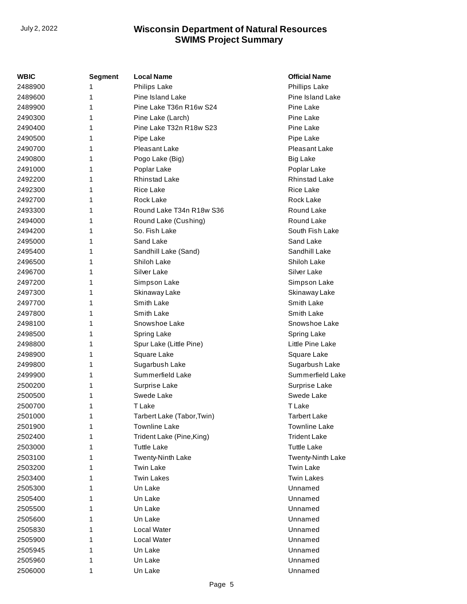| <b>WBIC</b> | <b>Segment</b> | <b>Local Name</b>          | <b>Official Name</b>    |
|-------------|----------------|----------------------------|-------------------------|
| 2488900     | 1              | Philips Lake               | Phillips Lake           |
| 2489600     | 1              | <b>Pine Island Lake</b>    | <b>Pine Island Lake</b> |
| 2489900     | 1              | Pine Lake T36n R16w S24    | Pine Lake               |
| 2490300     | 1              | Pine Lake (Larch)          | Pine Lake               |
| 2490400     | 1              | Pine Lake T32n R18w S23    | Pine Lake               |
| 2490500     | 1              | Pipe Lake                  | Pipe Lake               |
| 2490700     | 1              | Pleasant Lake              | Pleasant Lake           |
| 2490800     | 1              | Pogo Lake (Big)            | <b>Big Lake</b>         |
| 2491000     | 1              | Poplar Lake                | Poplar Lake             |
| 2492200     | 1              | <b>Rhinstad Lake</b>       | <b>Rhinstad Lake</b>    |
| 2492300     | 1              | Rice Lake                  | Rice Lake               |
| 2492700     | 1              | Rock Lake                  | Rock Lake               |
| 2493300     | 1              | Round Lake T34n R18w S36   | Round Lake              |
| 2494000     | 1              | Round Lake (Cushing)       | Round Lake              |
| 2494200     | 1              | So. Fish Lake              | South Fish Lake         |
| 2495000     | 1              | Sand Lake                  | Sand Lake               |
| 2495400     | 1              | Sandhill Lake (Sand)       | Sandhill Lake           |
| 2496500     | 1              | Shiloh Lake                | Shiloh Lake             |
| 2496700     | 1              | Silver Lake                | Silver Lake             |
| 2497200     | 1              | Simpson Lake               | Simpson Lake            |
| 2497300     | 1              | Skinaway Lake              | Skinaway Lake           |
| 2497700     | 1              | Smith Lake                 | Smith Lake              |
| 2497800     | 1              | Smith Lake                 | Smith Lake              |
| 2498100     | 1              | Snowshoe Lake              | Snowshoe Lake           |
| 2498500     | 1              | Spring Lake                | Spring Lake             |
| 2498800     | 1              | Spur Lake (Little Pine)    | Little Pine Lake        |
| 2498900     | 1              | Square Lake                | Square Lake             |
| 2499800     | 1              | Sugarbush Lake             | Sugarbush Lake          |
| 2499900     | 1              | Summerfield Lake           | Summerfield Lake        |
| 2500200     | 1              | Surprise Lake              | Surprise Lake           |
| 2500500     | 1              | Swede Lake                 | Swede Lake              |
| 2500700     | 1              | T Lake                     | T Lake                  |
| 2501000     | 1              | Tarbert Lake (Tabor, Twin) | <b>Tarbert Lake</b>     |
| 2501900     | 1              | <b>Townline Lake</b>       | <b>Townline Lake</b>    |
| 2502400     | 1              | Trident Lake (Pine, King)  | <b>Trident Lake</b>     |
| 2503000     | 1              | <b>Tuttle Lake</b>         | <b>Tuttle Lake</b>      |
| 2503100     | 1              | Twenty-Ninth Lake          | Twenty-Ninth Lake       |
| 2503200     | 1              | <b>Twin Lake</b>           | <b>Twin Lake</b>        |
| 2503400     | 1              | <b>Twin Lakes</b>          | <b>Twin Lakes</b>       |
| 2505300     | 1              | Un Lake                    | Unnamed                 |
| 2505400     | 1              | Un Lake                    | Unnamed                 |
| 2505500     | 1              | Un Lake                    | Unnamed                 |
| 2505600     | 1              | Un Lake                    | Unnamed                 |
| 2505830     | 1              | Local Water                | Unnamed                 |
| 2505900     | 1              | Local Water                | Unnamed                 |
| 2505945     | 1              | Un Lake                    | Unnamed                 |
| 2505960     | 1              | Un Lake                    | Unnamed                 |
| 2506000     | 1              | Un Lake                    | Unnamed                 |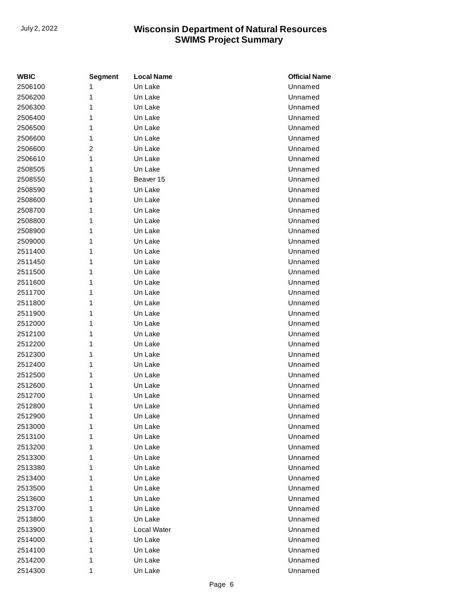| <b>WBIC</b> | <b>Segment</b> | <b>Local Name</b> | <b>Official Name</b> |
|-------------|----------------|-------------------|----------------------|
| 2506100     | 1              | Un Lake           | Unnamed              |
| 2506200     | 1              | Un Lake           | Unnamed              |
| 2506300     | 1              | Un Lake           | Unnamed              |
| 2506400     | 1              | Un Lake           | Unnamed              |
| 2506500     | 1              | Un Lake           | Unnamed              |
| 2506600     | 1              | Un Lake           | Unnamed              |
| 2506600     | 2              | Un Lake           | Unnamed              |
| 2506610     | 1              | Un Lake           | Unnamed              |
| 2508505     | 1              | Un Lake           | Unnamed              |
| 2508550     | 1              | Beaver 15         | Unnamed              |
| 2508590     | 1              | Un Lake           | Unnamed              |
| 2508600     | 1              | Un Lake           | Unnamed              |
| 2508700     | 1              | Un Lake           | Unnamed              |
| 2508800     | 1              | Un Lake           | Unnamed              |
| 2508900     | 1              | Un Lake           | Unnamed              |
| 2509000     | 1              | Un Lake           | Unnamed              |
| 2511400     | 1              | Un Lake           | Unnamed              |
| 2511450     | 1              | Un Lake           | Unnamed              |
| 2511500     | 1              | Un Lake           | Unnamed              |
| 2511600     | 1              | Un Lake           | Unnamed              |
| 2511700     | 1              | Un Lake           | Unnamed              |
| 2511800     | 1              | Un Lake           | Unnamed              |
| 2511900     | 1              | Un Lake           | Unnamed              |
| 2512000     | 1              | Un Lake           | Unnamed              |
| 2512100     | 1              | Un Lake           | Unnamed              |
| 2512200     | 1              | Un Lake           | Unnamed              |
| 2512300     | 1              | Un Lake           | Unnamed              |
| 2512400     | 1              | Un Lake           | Unnamed              |
| 2512500     | 1              | Un Lake           | Unnamed              |
| 2512600     | 1              | Un Lake           | Unnamed              |
| 2512700     | 1              | Un Lake           | Unnamed              |
| 2512800     | 1              | Un Lake           | Unnamed              |
| 2512900     | 1              | Un Lake           | Unnamed              |
| 2513000     | 1              | Un Lake           | Unnamed              |
| 2513100     | 1              | Un Lake           | Unnamed              |
| 2513200     | 1              | Un Lake           | Unnamed              |
| 2513300     | 1              | Un Lake           | Unnamed              |
| 2513380     | 1              | Un Lake           | Unnamed              |
| 2513400     | 1              | Un Lake           | Unnamed              |
| 2513500     | 1              | Un Lake           | Unnamed              |
| 2513600     | 1              | Un Lake           | Unnamed              |
| 2513700     | 1              | Un Lake           | Unnamed              |
| 2513800     | 1              | Un Lake           | Unnamed              |
| 2513900     | 1              | Local Water       | Unnamed              |
| 2514000     | 1              | Un Lake           | Unnamed              |
| 2514100     | 1              | Un Lake           | Unnamed              |
| 2514200     | 1              | Un Lake           | Unnamed              |
| 2514300     | 1              | Un Lake           | Unnamed              |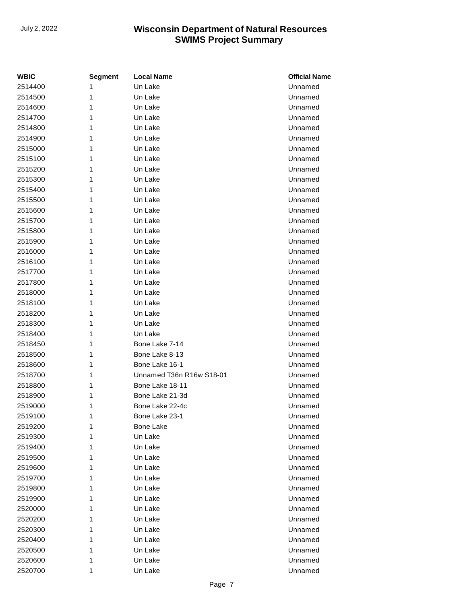| <b>WBIC</b> | <b>Segment</b> | <b>Local Name</b>        | <b>Official Name</b> |
|-------------|----------------|--------------------------|----------------------|
| 2514400     | 1              | Un Lake                  | Unnamed              |
| 2514500     | 1              | Un Lake                  | Unnamed              |
| 2514600     | 1              | Un Lake                  | Unnamed              |
| 2514700     | 1              | Un Lake                  | Unnamed              |
| 2514800     | 1              | Un Lake                  | Unnamed              |
| 2514900     | 1              | Un Lake                  | Unnamed              |
| 2515000     | 1              | Un Lake                  | Unnamed              |
| 2515100     | 1              | Un Lake                  | Unnamed              |
| 2515200     | 1              | Un Lake                  | Unnamed              |
| 2515300     | 1              | Un Lake                  | Unnamed              |
| 2515400     | 1              | Un Lake                  | Unnamed              |
| 2515500     | 1              | Un Lake                  | Unnamed              |
| 2515600     | 1              | Un Lake                  | Unnamed              |
| 2515700     | 1              | Un Lake                  | Unnamed              |
| 2515800     | 1              | Un Lake                  | Unnamed              |
| 2515900     | 1              | Un Lake                  | Unnamed              |
| 2516000     | 1              | Un Lake                  | Unnamed              |
| 2516100     | 1              | Un Lake                  | Unnamed              |
| 2517700     | 1              | Un Lake                  | Unnamed              |
| 2517800     | 1              | Un Lake                  | Unnamed              |
| 2518000     | 1              | Un Lake                  | Unnamed              |
| 2518100     | 1              | Un Lake                  | Unnamed              |
| 2518200     | 1              | Un Lake                  | Unnamed              |
| 2518300     | 1              | Un Lake                  | Unnamed              |
| 2518400     | 1              | Un Lake                  | Unnamed              |
| 2518450     | 1              | Bone Lake 7-14           | Unnamed              |
| 2518500     | 1              | Bone Lake 8-13           | Unnamed              |
| 2518600     | 1              | Bone Lake 16-1           | Unnamed              |
| 2518700     | 1              | Unnamed T36n R16w S18-01 | Unnamed              |
| 2518800     | 1              | Bone Lake 18-11          | Unnamed              |
| 2518900     | 1              | Bone Lake 21-3d          | Unnamed              |
| 2519000     | 1              | Bone Lake 22-4c          | Unnamed              |
| 2519100     | 1              | Bone Lake 23-1           | Unnamed              |
| 2519200     | 1              | <b>Bone Lake</b>         | Unnamed              |
| 2519300     | 1              | Un Lake                  | Unnamed              |
| 2519400     | 1              | Un Lake                  | Unnamed              |
| 2519500     | 1              | Un Lake                  | Unnamed              |
| 2519600     | 1              | Un Lake                  | Unnamed              |
| 2519700     | 1              | Un Lake                  | Unnamed              |
| 2519800     | 1              | Un Lake                  | Unnamed              |
| 2519900     | 1              | Un Lake                  | Unnamed              |
| 2520000     | 1              | Un Lake                  | Unnamed              |
| 2520200     | 1              | Un Lake                  | Unnamed              |
| 2520300     | 1              | Un Lake                  | Unnamed              |
| 2520400     | 1              | Un Lake                  | Unnamed              |
| 2520500     | 1              | Un Lake                  | Unnamed              |
| 2520600     | 1              | Un Lake                  | Unnamed              |
| 2520700     | 1              | Un Lake                  | Unnamed              |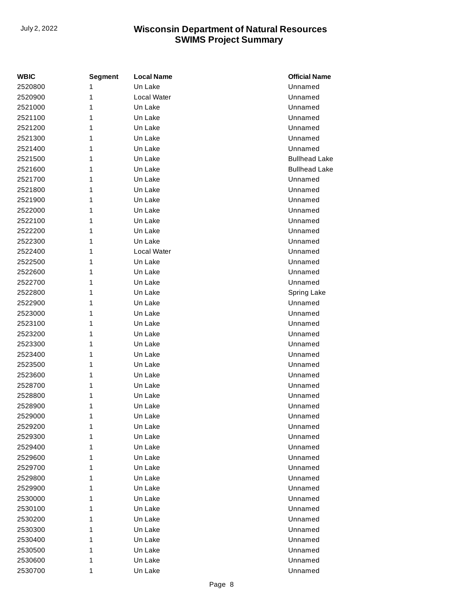| <b>WBIC</b> | <b>Segment</b> | <b>Local Name</b> | <b>Official Name</b> |
|-------------|----------------|-------------------|----------------------|
| 2520800     | 1              | Un Lake           | Unnamed              |
| 2520900     | 1              | Local Water       | Unnamed              |
| 2521000     | 1              | Un Lake           | Unnamed              |
| 2521100     | 1              | Un Lake           | Unnamed              |
| 2521200     | 1              | Un Lake           | Unnamed              |
| 2521300     | 1              | Un Lake           | Unnamed              |
| 2521400     | 1              | Un Lake           | Unnamed              |
| 2521500     | 1              | Un Lake           | <b>Bullhead Lake</b> |
| 2521600     | 1              | Un Lake           | <b>Bullhead Lake</b> |
| 2521700     | 1              | Un Lake           | Unnamed              |
| 2521800     | 1              | Un Lake           | Unnamed              |
| 2521900     | 1              | Un Lake           | Unnamed              |
| 2522000     | 1              | Un Lake           | Unnamed              |
| 2522100     | 1              | Un Lake           | Unnamed              |
| 2522200     | 1              | Un Lake           | Unnamed              |
| 2522300     | 1              | Un Lake           | Unnamed              |
| 2522400     | 1              | Local Water       | Unnamed              |
| 2522500     | 1              | Un Lake           | Unnamed              |
| 2522600     | 1              | Un Lake           | Unnamed              |
| 2522700     | 1              | Un Lake           | Unnamed              |
| 2522800     | 1              | Un Lake           | Spring Lake          |
| 2522900     | 1              | Un Lake           | Unnamed              |
| 2523000     | 1              | Un Lake           | Unnamed              |
| 2523100     | 1              | Un Lake           | Unnamed              |
| 2523200     | 1              | Un Lake           | Unnamed              |
| 2523300     | 1              | Un Lake           | Unnamed              |
| 2523400     | 1              | Un Lake           | Unnamed              |
| 2523500     | 1              | Un Lake           | Unnamed              |
| 2523600     | 1              | Un Lake           | Unnamed              |
| 2528700     | 1              | Un Lake           | Unnamed              |
| 2528800     | 1              | Un Lake           | Unnamed              |
| 2528900     | 1              | Un Lake           | Unnamed              |
| 2529000     | 1              | Un Lake           | Unnamed              |
| 2529200     | 1              | Un Lake           | Unnamed              |
| 2529300     | 1              | Un Lake           | Unnamed              |
| 2529400     | 1              | Un Lake           | Unnamed              |
| 2529600     | 1              | Un Lake           | Unnamed              |
| 2529700     | 1              | Un Lake           | Unnamed              |
| 2529800     | 1              | Un Lake           | Unnamed              |
| 2529900     | 1              | Un Lake           | Unnamed              |
| 2530000     | 1              | Un Lake           | Unnamed              |
| 2530100     | 1              | Un Lake           | Unnamed              |
| 2530200     | 1              | Un Lake           | Unnamed              |
| 2530300     | 1              | Un Lake           | Unnamed              |
| 2530400     | 1              | Un Lake           | Unnamed              |
| 2530500     | 1              | Un Lake           | Unnamed              |
| 2530600     | 1              | Un Lake           | Unnamed              |
| 2530700     | 1              | Un Lake           | Unnamed              |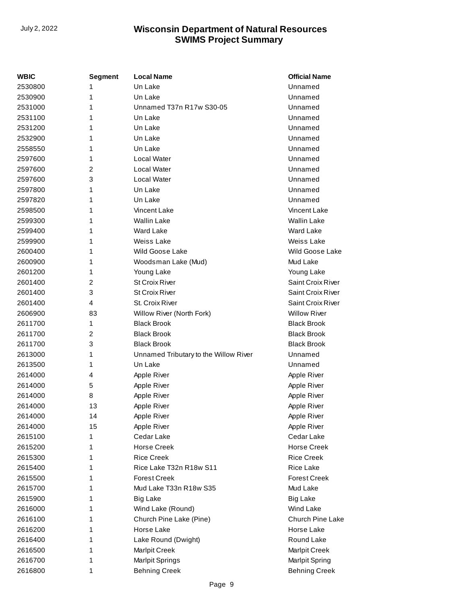| WBIC    | <b>Segment</b> | <b>Local Name</b>                     | <b>Official Name</b>    |
|---------|----------------|---------------------------------------|-------------------------|
| 2530800 | 1              | Un Lake                               | Unnamed                 |
| 2530900 | 1              | Un Lake                               | Unnamed                 |
| 2531000 | 1              | Unnamed T37n R17w S30-05              | Unnamed                 |
| 2531100 | 1              | Un Lake                               | Unnamed                 |
| 2531200 | 1              | Un Lake                               | Unnamed                 |
| 2532900 | 1              | Un Lake                               | Unnamed                 |
| 2558550 | 1              | Un Lake                               | Unnamed                 |
| 2597600 | 1              | Local Water                           | Unnamed                 |
| 2597600 | 2              | Local Water                           | Unnamed                 |
| 2597600 | 3              | Local Water                           | Unnamed                 |
| 2597800 | 1              | Un Lake                               | Unnamed                 |
| 2597820 | 1              | Un Lake                               | Unnamed                 |
| 2598500 | 1              | Vincent Lake                          | Vincent Lake            |
| 2599300 | 1              | <b>Wallin Lake</b>                    | <b>Wallin Lake</b>      |
| 2599400 | 1              | <b>Ward Lake</b>                      | <b>Ward Lake</b>        |
| 2599900 | 1              | Weiss Lake                            | Weiss Lake              |
| 2600400 | 1              | <b>Wild Goose Lake</b>                | Wild Goose Lake         |
| 2600900 | 1              | Woodsman Lake (Mud)                   | Mud Lake                |
| 2601200 | 1              | Young Lake                            | Young Lake              |
| 2601400 | 2              | <b>St Croix River</b>                 | Saint Croix River       |
| 2601400 | 3              | <b>St Croix River</b>                 | Saint Croix River       |
| 2601400 | $\overline{4}$ | St. Croix River                       | Saint Croix River       |
| 2606900 | 83             | Willow River (North Fork)             | <b>Willow River</b>     |
| 2611700 | 1              | <b>Black Brook</b>                    | <b>Black Brook</b>      |
| 2611700 | 2              | <b>Black Brook</b>                    | <b>Black Brook</b>      |
| 2611700 | 3              | <b>Black Brook</b>                    | <b>Black Brook</b>      |
| 2613000 | 1              | Unnamed Tributary to the Willow River | Unnamed                 |
| 2613500 | 1              | Un Lake                               | Unnamed                 |
| 2614000 | 4              | Apple River                           | Apple River             |
| 2614000 | 5              | Apple River                           | Apple River             |
| 2614000 | 8              | Apple River                           | Apple River             |
| 2614000 | 13             | Apple River                           | Apple River             |
| 2614000 | 14             | Apple River                           | Apple River             |
| 2614000 | 15             | Apple River                           | Apple River             |
| 2615100 | 1              | Cedar Lake                            | Cedar Lake              |
| 2615200 | 1              | <b>Horse Creek</b>                    | <b>Horse Creek</b>      |
| 2615300 | 1              | <b>Rice Creek</b>                     | <b>Rice Creek</b>       |
| 2615400 | 1              | Rice Lake T32n R18w S11               | Rice Lake               |
| 2615500 | 1              | <b>Forest Creek</b>                   | <b>Forest Creek</b>     |
| 2615700 | 1              | Mud Lake T33n R18w S35                | Mud Lake                |
| 2615900 | 1              | <b>Big Lake</b>                       | <b>Big Lake</b>         |
| 2616000 | 1              | Wind Lake (Round)                     | Wind Lake               |
| 2616100 | 1              | Church Pine Lake (Pine)               | <b>Church Pine Lake</b> |
| 2616200 | 1              | Horse Lake                            | Horse Lake              |
| 2616400 | 1              | Lake Round (Dwight)                   | Round Lake              |
| 2616500 | 1              | Marlpit Creek                         | Marlpit Creek           |
| 2616700 | 1              | Marlpit Springs                       | <b>Marlpit Spring</b>   |
| 2616800 | 1              | <b>Behning Creek</b>                  | <b>Behning Creek</b>    |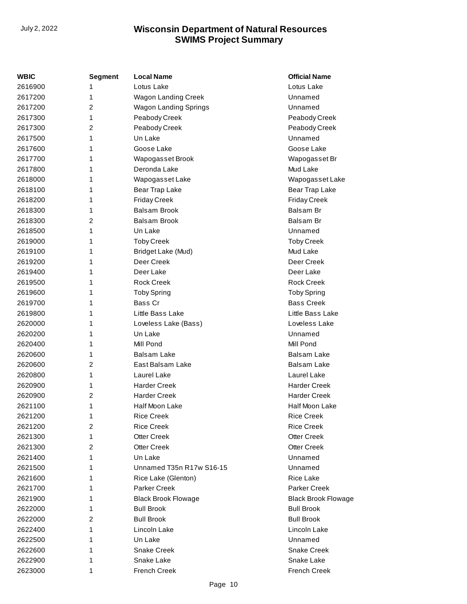| <b>WBIC</b> | <b>Segment</b> | <b>Local Name</b>          | <b>Official Name</b>       |
|-------------|----------------|----------------------------|----------------------------|
| 2616900     | 1              | Lotus Lake                 | Lotus Lake                 |
| 2617200     | 1              | Wagon Landing Creek        | Unnamed                    |
| 2617200     | $\overline{2}$ | Wagon Landing Springs      | Unnamed                    |
| 2617300     | 1              | Peabody Creek              | Peabody Creek              |
| 2617300     | $\overline{2}$ | Peabody Creek              | Peabody Creek              |
| 2617500     | 1              | Un Lake                    | Unnamed                    |
| 2617600     | 1              | Goose Lake                 | Goose Lake                 |
| 2617700     | 1              | Wapogasset Brook           | Wapogasset Br              |
| 2617800     | 1              | Deronda Lake               | Mud Lake                   |
| 2618000     | 1              | Wapogasset Lake            | Wapogasset Lake            |
| 2618100     | 1              | Bear Trap Lake             | Bear Trap Lake             |
| 2618200     | 1              | <b>Friday Creek</b>        | Friday Creek               |
| 2618300     | 1              | <b>Balsam Brook</b>        | Balsam Br                  |
| 2618300     | $\overline{2}$ | <b>Balsam Brook</b>        | Balsam Br                  |
| 2618500     | 1              | Un Lake                    | Unnamed                    |
| 2619000     | 1              | <b>Toby Creek</b>          | <b>Toby Creek</b>          |
| 2619100     | 1              | Bridget Lake (Mud)         | Mud Lake                   |
| 2619200     | 1              | Deer Creek                 | Deer Creek                 |
| 2619400     | 1              | Deer Lake                  | Deer Lake                  |
| 2619500     | 1              | <b>Rock Creek</b>          | <b>Rock Creek</b>          |
| 2619600     | 1              | <b>Toby Spring</b>         | <b>Toby Spring</b>         |
| 2619700     | 1              | Bass Cr                    | <b>Bass Creek</b>          |
| 2619800     | 1              | Little Bass Lake           | Little Bass Lake           |
| 2620000     | 1              | Loveless Lake (Bass)       | Loveless Lake              |
| 2620200     | 1              | Un Lake                    | Unnamed                    |
| 2620400     | 1              | Mill Pond                  | Mill Pond                  |
| 2620600     | 1              | <b>Balsam Lake</b>         | Balsam Lake                |
| 2620600     | 2              | East Balsam Lake           | <b>Balsam Lake</b>         |
| 2620800     | 1              | Laurel Lake                | Laurel Lake                |
| 2620900     | 1              | <b>Harder Creek</b>        | <b>Harder Creek</b>        |
| 2620900     | $\overline{2}$ | <b>Harder Creek</b>        | <b>Harder Creek</b>        |
| 2621100     | 1              | Half Moon Lake             | Half Moon Lake             |
| 2621200     | 1              | <b>Rice Creek</b>          | <b>Rice Creek</b>          |
| 2621200     | $\overline{c}$ | <b>Rice Creek</b>          | <b>Rice Creek</b>          |
| 2621300     | 1              | <b>Otter Creek</b>         | <b>Otter Creek</b>         |
| 2621300     | 2              | <b>Otter Creek</b>         | <b>Otter Creek</b>         |
| 2621400     | 1              | Un Lake                    | Unnamed                    |
| 2621500     | 1              | Unnamed T35n R17w S16-15   | Unnamed                    |
| 2621600     | 1              | Rice Lake (Glenton)        | <b>Rice Lake</b>           |
| 2621700     | 1              | <b>Parker Creek</b>        | Parker Creek               |
| 2621900     | 1              | <b>Black Brook Flowage</b> | <b>Black Brook Flowage</b> |
| 2622000     | 1              | <b>Bull Brook</b>          | <b>Bull Brook</b>          |
| 2622000     | 2              | <b>Bull Brook</b>          | <b>Bull Brook</b>          |
| 2622400     | 1              | Lincoln Lake               | Lincoln Lake               |
| 2622500     | 1              | Un Lake                    | Unnamed                    |
| 2622600     | 1              | <b>Snake Creek</b>         | <b>Snake Creek</b>         |
| 2622900     | 1              | Snake Lake                 | Snake Lake                 |
| 2623000     | 1              | <b>French Creek</b>        | French Creek               |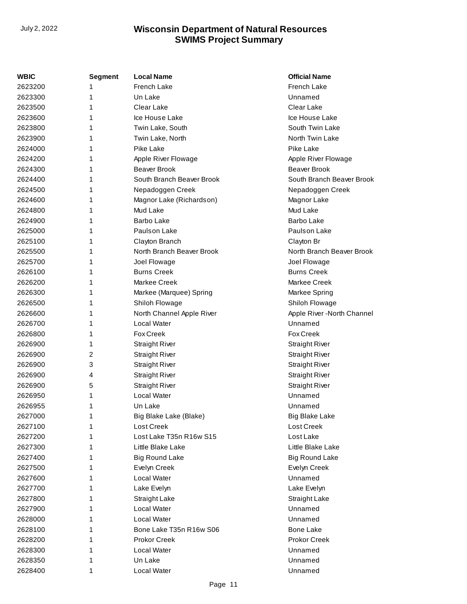| WBIC    | Segment | <b>Local Name</b>         | <b>Official Name</b>        |
|---------|---------|---------------------------|-----------------------------|
| 2623200 | 1       | French Lake               | French Lake                 |
| 2623300 | 1       | Un Lake                   | Unnamed                     |
| 2623500 | 1       | Clear Lake                | Clear Lake                  |
| 2623600 | 1       | Ice House Lake            | Ice House Lake              |
| 2623800 | 1       | Twin Lake, South          | South Twin Lake             |
| 2623900 | 1       | Twin Lake, North          | North Twin Lake             |
| 2624000 | 1       | Pike Lake                 | Pike Lake                   |
| 2624200 | 1       | Apple River Flowage       | Apple River Flowage         |
| 2624300 | 1       | <b>Beaver Brook</b>       | <b>Beaver Brook</b>         |
| 2624400 | 1       | South Branch Beaver Brook | South Branch Beaver Brook   |
| 2624500 | 1       | Nepadoggen Creek          | Nepadoggen Creek            |
| 2624600 | 1       | Magnor Lake (Richardson)  | Magnor Lake                 |
| 2624800 | 1       | Mud Lake                  | Mud Lake                    |
| 2624900 | 1       | <b>Barbo Lake</b>         | <b>Barbo Lake</b>           |
| 2625000 | 1       | Paulson Lake              | Paulson Lake                |
| 2625100 | 1       | Clayton Branch            | Clayton Br                  |
| 2625500 | 1       | North Branch Beaver Brook | North Branch Beaver Brook   |
| 2625700 | 1       | Joel Flowage              | Joel Flowage                |
| 2626100 | 1       | <b>Burns Creek</b>        | <b>Burns Creek</b>          |
| 2626200 | 1       | Markee Creek              | Markee Creek                |
| 2626300 | 1       | Markee (Marquee) Spring   | Markee Spring               |
| 2626500 | 1       | Shiloh Flowage            | Shiloh Flowage              |
| 2626600 | 1       | North Channel Apple River | Apple River - North Channel |
| 2626700 | 1       | Local Water               | Unnamed                     |
| 2626800 | 1       | <b>Fox Creek</b>          | <b>Fox Creek</b>            |
| 2626900 | 1       | <b>Straight River</b>     | <b>Straight River</b>       |
| 2626900 | 2       | <b>Straight River</b>     | <b>Straight River</b>       |
| 2626900 | 3       | <b>Straight River</b>     | <b>Straight River</b>       |
| 2626900 | 4       | <b>Straight River</b>     | <b>Straight River</b>       |
| 2626900 | 5       | <b>Straight River</b>     | <b>Straight River</b>       |
| 2626950 | 1       | Local Water               | Unnamed                     |
| 2626955 | 1       | Un Lake                   | Unnamed                     |
| 2627000 | 1       | Big Blake Lake (Blake)    | <b>Big Blake Lake</b>       |
| 2627100 | 1       | Lost Creek                | Lost Creek                  |
| 2627200 | 1       | Lost Lake T35n R16w S15   | Lost Lake                   |
| 2627300 | 1       | Little Blake Lake         | Little Blake Lake           |
| 2627400 | 1       | <b>Big Round Lake</b>     | <b>Big Round Lake</b>       |
| 2627500 | 1       | Evelyn Creek              | Evelyn Creek                |
| 2627600 | 1       | Local Water               | Unnamed                     |
| 2627700 | 1       | Lake Evelyn               | Lake Evelyn                 |
| 2627800 | 1       | Straight Lake             | Straight Lake               |
| 2627900 | 1       | Local Water               | Unnamed                     |
| 2628000 | 1       | Local Water               | Unnamed                     |
| 2628100 | 1       | Bone Lake T35n R16w S06   | <b>Bone Lake</b>            |
| 2628200 | 1       | <b>Prokor Creek</b>       | Prokor Creek                |
| 2628300 | 1       | Local Water               | Unnamed                     |
| 2628350 | 1       | Un Lake                   | Unnamed                     |
| 2628400 | 1       | Local Water               | Unnamed                     |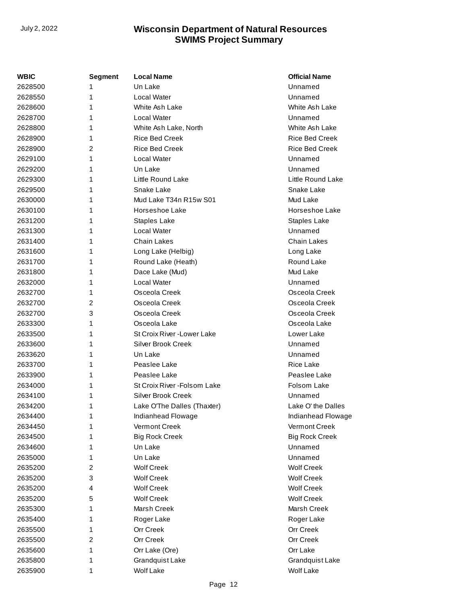| WBIC    | Segment | <b>Local Name</b>            | <b>Official Name</b>  |
|---------|---------|------------------------------|-----------------------|
| 2628500 | 1       | Un Lake                      | Unnamed               |
| 2628550 | 1       | Local Water                  | Unnamed               |
| 2628600 | 1       | White Ash Lake               | White Ash Lake        |
| 2628700 | 1       | Local Water                  | Unnamed               |
| 2628800 | 1       | White Ash Lake, North        | White Ash Lake        |
| 2628900 | 1       | <b>Rice Bed Creek</b>        | <b>Rice Bed Creek</b> |
| 2628900 | 2       | Rice Bed Creek               | <b>Rice Bed Creek</b> |
| 2629100 | 1       | Local Water                  | Unnamed               |
| 2629200 | 1       | Un Lake                      | Unnamed               |
| 2629300 | 1       | Little Round Lake            | Little Round Lake     |
| 2629500 | 1       | Snake Lake                   | Snake Lake            |
| 2630000 | 1       | Mud Lake T34n R15w S01       | Mud Lake              |
| 2630100 | 1       | Horseshoe Lake               | Horseshoe Lake        |
| 2631200 | 1       | <b>Staples Lake</b>          | Staples Lake          |
| 2631300 | 1       | Local Water                  | Unnamed               |
| 2631400 | 1       | Chain Lakes                  | <b>Chain Lakes</b>    |
| 2631600 | 1       | Long Lake (Helbig)           | Long Lake             |
| 2631700 | 1       | Round Lake (Heath)           | Round Lake            |
| 2631800 | 1       | Dace Lake (Mud)              | Mud Lake              |
| 2632000 | 1       | Local Water                  | Unnamed               |
| 2632700 | 1       | Osceola Creek                | Osceola Creek         |
| 2632700 | 2       | Osceola Creek                | Osceola Creek         |
| 2632700 | 3       | Osceola Creek                | Osceola Creek         |
| 2633300 | 1       | Osceola Lake                 | Osceola Lake          |
| 2633500 | 1       | St Croix River - Lower Lake  | Lower Lake            |
| 2633600 | 1       | Silver Brook Creek           | Unnamed               |
| 2633620 | 1       | Un Lake                      | Unnamed               |
| 2633700 | 1       | Peaslee Lake                 | <b>Rice Lake</b>      |
| 2633900 | 1       | Peaslee Lake                 | Peaslee Lake          |
| 2634000 | 1       | St Croix River - Folsom Lake | Folsom Lake           |
| 2634100 | 1       | Silver Brook Creek           | Unnamed               |
| 2634200 | 1       | Lake O'The Dalles (Thaxter)  | Lake O' the Dalles    |
| 2634400 | 1       | Indianhead Flowage           | Indianhead Flowage    |
| 2634450 | 1       | Vermont Creek                | Vermont Creek         |
| 2634500 | 1       | <b>Big Rock Creek</b>        | <b>Big Rock Creek</b> |
| 2634600 | 1       | Un Lake                      | Unnamed               |
| 2635000 | 1       | Un Lake                      | Unnamed               |
| 2635200 | 2       | <b>Wolf Creek</b>            | <b>Wolf Creek</b>     |
| 2635200 | 3       | <b>Wolf Creek</b>            | <b>Wolf Creek</b>     |
| 2635200 | 4       | <b>Wolf Creek</b>            | <b>Wolf Creek</b>     |
| 2635200 | 5       | <b>Wolf Creek</b>            | <b>Wolf Creek</b>     |
| 2635300 | 1       | Marsh Creek                  | Marsh Creek           |
| 2635400 | 1       | Roger Lake                   | Roger Lake            |
| 2635500 | 1       | Orr Creek                    | Orr Creek             |
| 2635500 | 2       | Orr Creek                    | Orr Creek             |
| 2635600 | 1       | Orr Lake (Ore)               | Orr Lake              |
| 2635800 | 1       | Grandquist Lake              | Grandquist Lake       |
| 2635900 | 1       | <b>Wolf Lake</b>             | Wolf Lake             |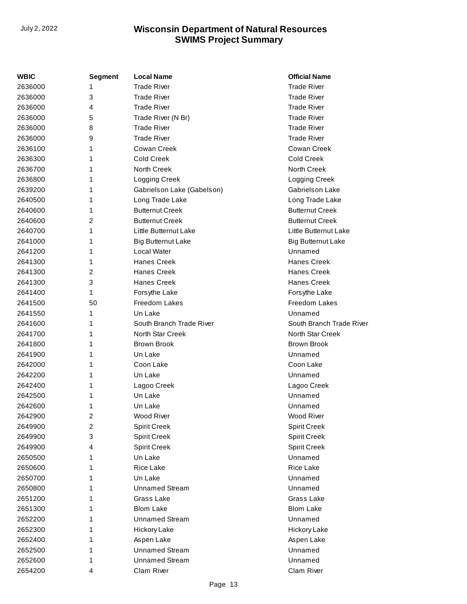| WBIC    | <b>Segment</b> | <b>Local Name</b>          | <b>Official Name</b>      |
|---------|----------------|----------------------------|---------------------------|
| 2636000 | 1              | <b>Trade River</b>         | <b>Trade River</b>        |
| 2636000 | 3              | <b>Trade River</b>         | <b>Trade River</b>        |
| 2636000 | 4              | <b>Trade River</b>         | <b>Trade River</b>        |
| 2636000 | 5              | Trade River (N Br)         | <b>Trade River</b>        |
| 2636000 | 8              | <b>Trade River</b>         | <b>Trade River</b>        |
| 2636000 | 9              | <b>Trade River</b>         | <b>Trade River</b>        |
| 2636100 | 1              | Cowan Creek                | Cowan Creek               |
| 2636300 | 1              | <b>Cold Creek</b>          | Cold Creek                |
| 2636700 | 1              | North Creek                | North Creek               |
| 2636800 | 1              | Logging Creek              | Logging Creek             |
| 2639200 | 1              | Gabrielson Lake (Gabelson) | Gabrielson Lake           |
| 2640500 | 1              | Long Trade Lake            | Long Trade Lake           |
| 2640600 | 1              | <b>Butternut Creek</b>     | <b>Butternut Creek</b>    |
| 2640600 | 2              | <b>Butternut Creek</b>     | <b>Butternut Creek</b>    |
| 2640700 | 1              | Little Butternut Lake      | Little Butternut Lake     |
| 2641000 | 1              | <b>Big Butternut Lake</b>  | <b>Big Butternut Lake</b> |
| 2641200 | 1              | Local Water                | Unnamed                   |
| 2641300 | 1              | <b>Hanes Creek</b>         | <b>Hanes Creek</b>        |
| 2641300 | 2              | <b>Hanes Creek</b>         | <b>Hanes Creek</b>        |
| 2641300 | 3              | <b>Hanes Creek</b>         | <b>Hanes Creek</b>        |
| 2641400 | 1              | Forsythe Lake              | Forsythe Lake             |
| 2641500 | 50             | Freedom Lakes              | Freedom Lakes             |
| 2641550 | 1              | Un Lake                    | Unnamed                   |
| 2641600 | 1              | South Branch Trade River   | South Branch Trade River  |
| 2641700 | 1              | North Star Creek           | <b>North Star Creek</b>   |
| 2641800 | 1              | <b>Brown Brook</b>         | <b>Brown Brook</b>        |
| 2641900 | 1              | Un Lake                    | Unnamed                   |
| 2642000 | 1              | Coon Lake                  | Coon Lake                 |
| 2642200 | 1              | Un Lake                    | Unnamed                   |
| 2642400 | 1              | Lagoo Creek                | Lagoo Creek               |
| 2642500 | 1              | Un Lake                    | Unnamed                   |
| 2642600 | 1              | Un Lake                    | Unnamed                   |
| 2642900 | 2              | Wood River                 | Wood River                |
| 2649900 | 2              | <b>Spirit Creek</b>        | <b>Spirit Creek</b>       |
| 2649900 | 3              | <b>Spirit Creek</b>        | <b>Spirit Creek</b>       |
| 2649900 | 4              | <b>Spirit Creek</b>        | <b>Spirit Creek</b>       |
| 2650500 | 1              | Un Lake                    | Unnamed                   |
| 2650600 | 1              | Rice Lake                  | Rice Lake                 |
| 2650700 | 1              | Un Lake                    | Unnamed                   |
| 2650800 | 1              | <b>Unnamed Stream</b>      | Unnamed                   |
| 2651200 | 1              | Grass Lake                 | Grass Lake                |
| 2651300 | 1              | <b>Blom Lake</b>           | <b>Blom Lake</b>          |
| 2652200 | 1              | <b>Unnamed Stream</b>      | Unnamed                   |
| 2652300 | 1              | Hickory Lake               | Hickory Lake              |
| 2652400 | 1              | Aspen Lake                 | Aspen Lake                |
| 2652500 | 1              | <b>Unnamed Stream</b>      | Unnamed                   |
| 2652600 | 1              | <b>Unnamed Stream</b>      | Unnamed                   |
| 2654200 | 4              | Clam River                 | Clam River                |
|         |                |                            |                           |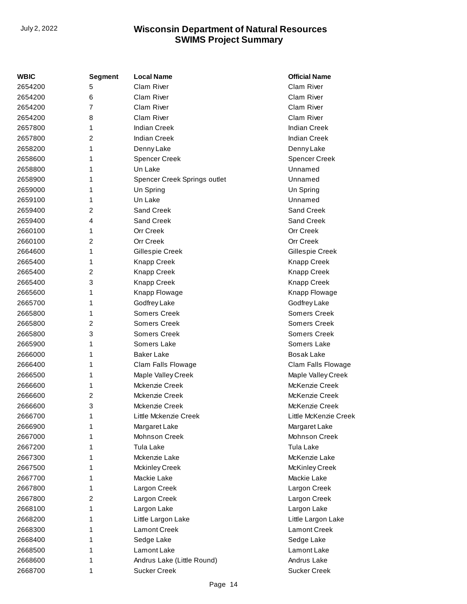| <b>WBIC</b> | Segment        | <b>Local Name</b>            | <b>Official Name</b>  |
|-------------|----------------|------------------------------|-----------------------|
| 2654200     | 5              | Clam River                   | Clam River            |
| 2654200     | 6              | Clam River                   | Clam River            |
| 2654200     | 7              | Clam River                   | Clam River            |
| 2654200     | 8              | Clam River                   | Clam River            |
| 2657800     | 1              | <b>Indian Creek</b>          | <b>Indian Creek</b>   |
| 2657800     | $\overline{2}$ | <b>Indian Creek</b>          | <b>Indian Creek</b>   |
| 2658200     | 1              | Denny Lake                   | Denny Lake            |
| 2658600     | 1              | <b>Spencer Creek</b>         | <b>Spencer Creek</b>  |
| 2658800     | 1              | Un Lake                      | Unnamed               |
| 2658900     | 1              | Spencer Creek Springs outlet | Unnamed               |
| 2659000     | 1              | Un Spring                    | Un Spring             |
| 2659100     | 1              | Un Lake                      | Unnamed               |
| 2659400     | $\overline{2}$ | Sand Creek                   | Sand Creek            |
| 2659400     | 4              | Sand Creek                   | Sand Creek            |
| 2660100     | 1              | Orr Creek                    | Orr Creek             |
| 2660100     | $\overline{2}$ | Orr Creek                    | Orr Creek             |
| 2664600     | 1              | Gillespie Creek              | Gillespie Creek       |
| 2665400     | 1              | <b>Knapp Creek</b>           | <b>Knapp Creek</b>    |
| 2665400     | 2              | Knapp Creek                  | <b>Knapp Creek</b>    |
| 2665400     | 3              | Knapp Creek                  | Knapp Creek           |
| 2665600     | 1              | Knapp Flowage                | Knapp Flowage         |
| 2665700     | 1              | Godfrey Lake                 | Godfrey Lake          |
| 2665800     | 1              | <b>Somers Creek</b>          | <b>Somers Creek</b>   |
| 2665800     | $\overline{2}$ | Somers Creek                 | Somers Creek          |
| 2665800     | 3              | <b>Somers Creek</b>          | Somers Creek          |
| 2665900     | 1              | Somers Lake                  | Somers Lake           |
| 2666000     | 1              | <b>Baker Lake</b>            | <b>Bosak Lake</b>     |
| 2666400     | 1              | Clam Falls Flowage           | Clam Falls Flowage    |
| 2666500     | 1              | Maple Valley Creek           | Maple Valley Creek    |
| 2666600     | 1              | Mckenzie Creek               | McKenzie Creek        |
| 2666600     | 2              | Mckenzie Creek               | McKenzie Creek        |
| 2666600     | 3              | Mckenzie Creek               | McKenzie Creek        |
| 2666700     | 1              | Little Mckenzie Creek        | Little McKenzie Creek |
| 2666900     | 1              | Margaret Lake                | Margaret Lake         |
| 2667000     | 1              | <b>Mohnson Creek</b>         | Mohnson Creek         |
| 2667200     | 1              | Tula Lake                    | Tula Lake             |
| 2667300     | 1              | Mckenzie Lake                | McKenzie Lake         |
| 2667500     | 1              | <b>Mckinley Creek</b>        | McKinley Creek        |
| 2667700     | 1              | Mackie Lake                  | Mackie Lake           |
| 2667800     | 1              | Largon Creek                 | Largon Creek          |
| 2667800     | 2              | Largon Creek                 | Largon Creek          |
| 2668100     | 1              | Largon Lake                  | Largon Lake           |
| 2668200     | 1              | Little Largon Lake           | Little Largon Lake    |
| 2668300     | 1              | Lamont Creek                 | <b>Lamont Creek</b>   |
| 2668400     | 1              | Sedge Lake                   | Sedge Lake            |
| 2668500     | 1              | Lamont Lake                  | Lamont Lake           |
| 2668600     | 1              | Andrus Lake (Little Round)   | Andrus Lake           |
| 2668700     | 1              | <b>Sucker Creek</b>          | <b>Sucker Creek</b>   |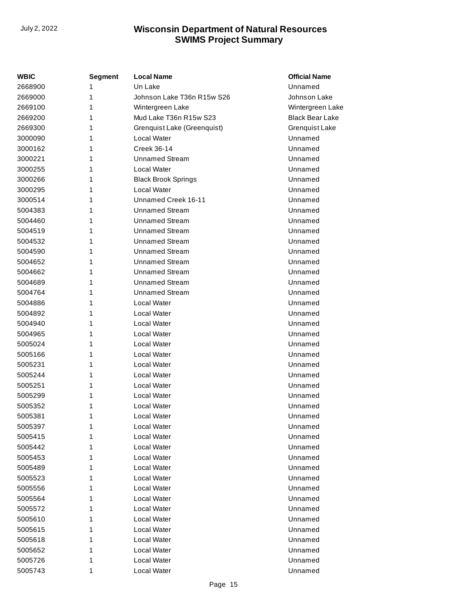| <b>WBIC</b> | Segment | <b>Local Name</b>           | <b>Official Name</b>   |
|-------------|---------|-----------------------------|------------------------|
| 2668900     | 1       | Un Lake                     | Unnamed                |
| 2669000     | 1       | Johnson Lake T36n R15w S26  | Johnson Lake           |
| 2669100     | 1       | Wintergreen Lake            | Wintergreen Lake       |
| 2669200     | 1       | Mud Lake T36n R15w S23      | <b>Black Bear Lake</b> |
| 2669300     | 1       | Grenquist Lake (Greenquist) | Grenquist Lake         |
| 3000090     | 1       | Local Water                 | Unnamed                |
| 3000162     | 1       | Creek 36-14                 | Unnamed                |
| 3000221     | 1       | <b>Unnamed Stream</b>       | Unnamed                |
| 3000255     | 1       | Local Water                 | Unnamed                |
| 3000266     | 1       | <b>Black Brook Springs</b>  | Unnamed                |
| 3000295     | 1       | Local Water                 | Unnamed                |
| 3000514     | 1       | Unnamed Creek 16-11         | Unnamed                |
| 5004383     | 1       | <b>Unnamed Stream</b>       | Unnamed                |
| 5004460     | 1       | <b>Unnamed Stream</b>       | Unnamed                |
| 5004519     | 1       | <b>Unnamed Stream</b>       | Unnamed                |
| 5004532     | 1       | <b>Unnamed Stream</b>       | Unnamed                |
| 5004590     | 1       | <b>Unnamed Stream</b>       | Unnamed                |
| 5004652     | 1       | <b>Unnamed Stream</b>       | Unnamed                |
| 5004662     | 1       | <b>Unnamed Stream</b>       | Unnamed                |
| 5004689     | 1       | <b>Unnamed Stream</b>       | Unnamed                |
| 5004764     | 1       | <b>Unnamed Stream</b>       | Unnamed                |
| 5004886     | 1       | Local Water                 | Unnamed                |
| 5004892     | 1       | Local Water                 | Unnamed                |
| 5004940     | 1       | <b>Local Water</b>          | Unnamed                |
| 5004965     | 1       | <b>Local Water</b>          | Unnamed                |
| 5005024     | 1       | Local Water                 | Unnamed                |
| 5005166     | 1       | <b>Local Water</b>          | Unnamed                |
| 5005231     | 1       | Local Water                 | Unnamed                |
| 5005244     | 1       | Local Water                 | Unnamed                |
| 5005251     | 1       | Local Water                 | Unnamed                |
| 5005299     | 1       | <b>Local Water</b>          | Unnamed                |
| 5005352     | 1       | Local Water                 | Unnamed                |
| 5005381     | 1       | <b>Local Water</b>          | Unnamed                |
| 5005397     | 1       | <b>Local Water</b>          | Unnamed                |
| 5005415     | 1       | <b>Local Water</b>          | Unnamed                |
| 5005442     | 1       | Local Water                 | Unnamed                |
| 5005453     | 1       | Local Water                 | Unnamed                |
| 5005489     | 1       | <b>Local Water</b>          | Unnamed                |
| 5005523     | 1       | <b>Local Water</b>          | Unnamed                |
| 5005556     | 1       | Local Water                 | Unnamed                |
| 5005564     | 1       | Local Water                 | Unnamed                |
| 5005572     | 1       | <b>Local Water</b>          | Unnamed                |
| 5005610     | 1       | <b>Local Water</b>          | Unnamed                |
| 5005615     | 1       | Local Water                 | Unnamed                |
| 5005618     | 1       | Local Water                 | Unnamed                |
| 5005652     | 1       | Local Water                 | Unnamed                |
| 5005726     | 1       | <b>Local Water</b>          | Unnamed                |
| 5005743     | 1       | Local Water                 | Unnamed                |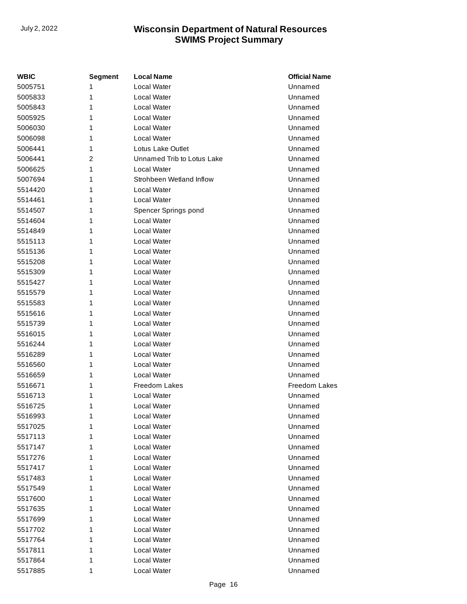| WBIC    | <b>Segment</b> | <b>Local Name</b>          | <b>Official Name</b> |
|---------|----------------|----------------------------|----------------------|
| 5005751 |                | Local Water                | Unnamed              |
| 5005833 | 1              | Local Water                | Unnamed              |
| 5005843 | 1              | Local Water                | Unnamed              |
| 5005925 | 1              | Local Water                | Unnamed              |
| 5006030 | 1              | Local Water                | Unnamed              |
| 5006098 | 1              | Local Water                | Unnamed              |
| 5006441 | 1              | Lotus Lake Outlet          | Unnamed              |
| 5006441 | 2              | Unnamed Trib to Lotus Lake | Unnamed              |
| 5006625 | 1              | Local Water                | Unnamed              |
| 5007694 | 1              | Strohbeen Wetland Inflow   | Unnamed              |
| 5514420 | 1              | Local Water                | Unnamed              |
| 5514461 | 1              | Local Water                | Unnamed              |
| 5514507 | 1              | Spencer Springs pond       | Unnamed              |
| 5514604 | 1              | Local Water                | Unnamed              |
| 5514849 | 1              | Local Water                | Unnamed              |
| 5515113 | 1              | Local Water                | Unnamed              |
| 5515136 | 1              | Local Water                | Unnamed              |
| 5515208 | 1              | Local Water                | Unnamed              |
| 5515309 | 1              | Local Water                | Unnamed              |
| 5515427 | 1              | Local Water                | Unnamed              |
| 5515579 | 1              | Local Water                | Unnamed              |
| 5515583 | 1              | Local Water                | Unnamed              |
| 5515616 | 1              | Local Water                | Unnamed              |
| 5515739 | 1              | Local Water                | Unnamed              |
| 5516015 | 1              | Local Water                | Unnamed              |
| 5516244 | 1              | Local Water                | Unnamed              |
| 5516289 | 1              | Local Water                | Unnamed              |
| 5516560 | 1              | Local Water                | Unnamed              |
| 5516659 | 1              | Local Water                | Unnamed              |
| 5516671 | 1              | Freedom Lakes              | Freedom Lakes        |
| 5516713 | 1              | Local Water                | Unnamed              |
| 5516725 | 1              | Local Water                | Unnamed              |
| 5516993 | 1              | Local Water                | Unnamed              |
| 5517025 | 1              | Local Water                | Unnamed              |
| 5517113 | 1              | Local Water                | Unnamed              |
| 5517147 | 1              | Local Water                | Unnamed              |
| 5517276 | 1              | Local Water                | Unnamed              |
| 5517417 | 1              | Local Water                | Unnamed              |
| 5517483 | 1              | Local Water                | Unnamed              |
| 5517549 | 1              | Local Water                | Unnamed              |
| 5517600 | 1              | Local Water                | Unnamed              |
| 5517635 | 1              | Local Water                | Unnamed              |
| 5517699 | 1              | Local Water                | Unnamed              |
| 5517702 | 1              | Local Water                | Unnamed              |
| 5517764 | 1              | Local Water                | Unnamed              |
| 5517811 | 1              | Local Water                | Unnamed              |
| 5517864 | 1              | Local Water                | Unnamed              |
| 5517885 | 1              | Local Water                | Unnamed              |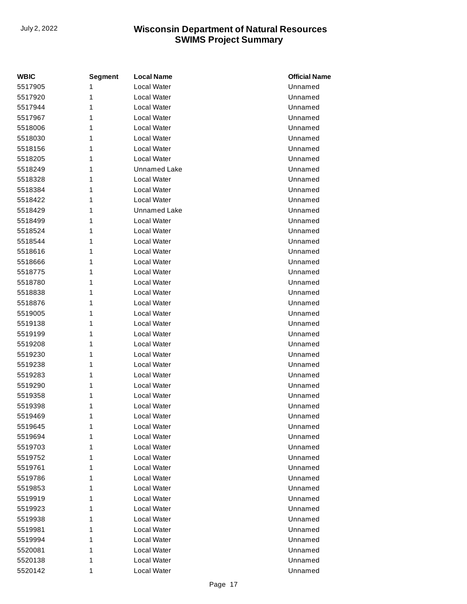| <b>WBIC</b> | <b>Segment</b> | <b>Local Name</b>  | <b>Official Name</b> |
|-------------|----------------|--------------------|----------------------|
| 5517905     | 1              | <b>Local Water</b> | Unnamed              |
| 5517920     | 1              | <b>Local Water</b> | Unnamed              |
| 5517944     | 1              | Local Water        | Unnamed              |
| 5517967     | 1              | Local Water        | Unnamed              |
| 5518006     | 1              | Local Water        | Unnamed              |
| 5518030     | 1              | <b>Local Water</b> | Unnamed              |
| 5518156     | 1              | Local Water        | Unnamed              |
| 5518205     | 1              | Local Water        | Unnamed              |
| 5518249     | 1              | Unnamed Lake       | Unnamed              |
| 5518328     | 1              | Local Water        | Unnamed              |
| 5518384     | 1              | <b>Local Water</b> | Unnamed              |
| 5518422     | 1              | Local Water        | Unnamed              |
| 5518429     | 1              | Unnamed Lake       | Unnamed              |
| 5518499     | 1              | Local Water        | Unnamed              |
| 5518524     | 1              | Local Water        | Unnamed              |
| 5518544     | 1              | Local Water        | Unnamed              |
| 5518616     | 1              | Local Water        | Unnamed              |
| 5518666     | 1              | <b>Local Water</b> | Unnamed              |
| 5518775     | 1              | <b>Local Water</b> | Unnamed              |
| 5518780     | 1              | Local Water        | Unnamed              |
| 5518838     | 1              | Local Water        | Unnamed              |
| 5518876     | 1              | <b>Local Water</b> | Unnamed              |
| 5519005     | 1              | Local Water        | Unnamed              |
| 5519138     | 1              | <b>Local Water</b> | Unnamed              |
| 5519199     | 1              | Local Water        | Unnamed              |
| 5519208     | 1              | <b>Local Water</b> | Unnamed              |
| 5519230     | 1              | <b>Local Water</b> | Unnamed              |
| 5519238     | 1              | Local Water        | Unnamed              |
| 5519283     | 1              | Local Water        | Unnamed              |
| 5519290     | 1              | Local Water        | Unnamed              |
| 5519358     | 1              | Local Water        | Unnamed              |
| 5519398     | 1              | Local Water        | Unnamed              |
| 5519469     | 1              | Local Water        | Unnamed              |
| 5519645     | 1              | Local Water        | Unnamed              |
| 5519694     | 1              | Local Water        | Unnamed              |
| 5519703     | 1              | <b>Local Water</b> | Unnamed              |
| 5519752     | 1              | Local Water        | Unnamed              |
| 5519761     | 1              | Local Water        | Unnamed              |
| 5519786     | 1              | Local Water        | Unnamed              |
| 5519853     | 1              | Local Water        | Unnamed              |
| 5519919     | 1              | Local Water        | Unnamed              |
| 5519923     | 1              | Local Water        | Unnamed              |
| 5519938     | 1              | Local Water        | Unnamed              |
| 5519981     | 1              | Local Water        | Unnamed              |
| 5519994     | 1              | Local Water        | Unnamed              |
| 5520081     | 1              | Local Water        | Unnamed              |
| 5520138     | 1              | Local Water        | Unnamed              |
| 5520142     | 1              | Local Water        | Unnamed              |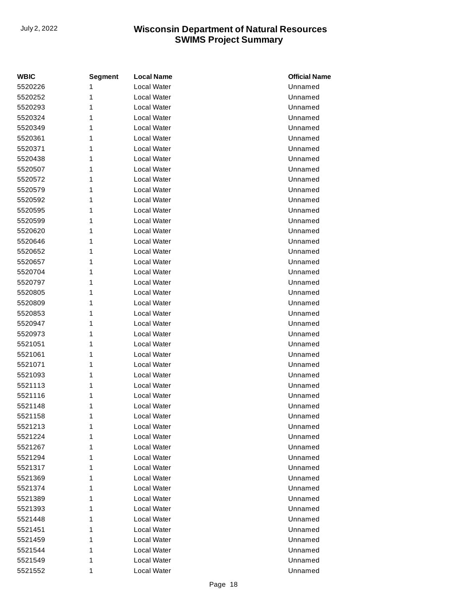| <b>WBIC</b> | <b>Segment</b> | <b>Local Name</b>  | <b>Official Name</b> |
|-------------|----------------|--------------------|----------------------|
| 5520226     | 1              | <b>Local Water</b> | Unnamed              |
| 5520252     | 1              | Local Water        | Unnamed              |
| 5520293     | 1              | Local Water        | Unnamed              |
| 5520324     | 1              | Local Water        | Unnamed              |
| 5520349     | 1              | Local Water        | Unnamed              |
| 5520361     | 1              | Local Water        | Unnamed              |
| 5520371     | 1              | Local Water        | Unnamed              |
| 5520438     | 1              | Local Water        | Unnamed              |
| 5520507     | 1              | Local Water        | Unnamed              |
| 5520572     | 1              | Local Water        | Unnamed              |
| 5520579     | 1              | Local Water        | Unnamed              |
| 5520592     | 1              | Local Water        | Unnamed              |
| 5520595     | 1              | Local Water        | Unnamed              |
| 5520599     | 1              | Local Water        | Unnamed              |
| 5520620     | 1              | Local Water        | Unnamed              |
| 5520646     | 1              | <b>Local Water</b> | Unnamed              |
| 5520652     | 1              | Local Water        | Unnamed              |
| 5520657     | 1              | Local Water        | Unnamed              |
| 5520704     | 1              | Local Water        | Unnamed              |
| 5520797     | 1              | Local Water        | Unnamed              |
| 5520805     | 1              | Local Water        | Unnamed              |
| 5520809     | 1              | Local Water        | Unnamed              |
| 5520853     | 1              | Local Water        | Unnamed              |
| 5520947     | 1              | <b>Local Water</b> | Unnamed              |
| 5520973     | 1              | Local Water        | Unnamed              |
| 5521051     | 1              | Local Water        | Unnamed              |
| 5521061     | 1              | Local Water        | Unnamed              |
| 5521071     | 1              | Local Water        | Unnamed              |
| 5521093     | 1              | Local Water        | Unnamed              |
| 5521113     | 1              | Local Water        | Unnamed              |
| 5521116     | 1              | Local Water        | Unnamed              |
| 5521148     | 1              | Local Water        | Unnamed              |
| 5521158     | 1              | Local Water        | Unnamed              |
| 5521213     | 1              | Local Water        | Unnamed              |
| 5521224     | 1              | Local Water        | Unnamed              |
| 5521267     | 1              | Local Water        | Unnamed              |
| 5521294     | 1              | Local Water        | Unnamed              |
| 5521317     | 1              | Local Water        | Unnamed              |
| 5521369     | 1              | Local Water        | Unnamed              |
| 5521374     | 1              | Local Water        | Unnamed              |
| 5521389     | 1              | Local Water        | Unnamed              |
| 5521393     | 1              | Local Water        | Unnamed              |
| 5521448     | 1              | Local Water        | Unnamed              |
| 5521451     | 1              | Local Water        | Unnamed              |
| 5521459     | 1              | Local Water        | Unnamed              |
| 5521544     | 1              | Local Water        | Unnamed              |
| 5521549     | 1              | Local Water        | Unnamed              |
| 5521552     | 1              | Local Water        | Unnamed              |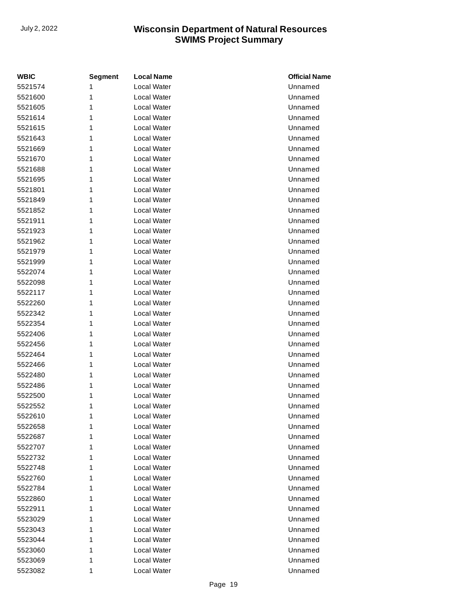| <b>WBIC</b> | <b>Segment</b> | <b>Local Name</b>  | <b>Official Name</b> |
|-------------|----------------|--------------------|----------------------|
| 5521574     | 1              | <b>Local Water</b> | Unnamed              |
| 5521600     | 1              | Local Water        | Unnamed              |
| 5521605     | 1              | Local Water        | Unnamed              |
| 5521614     | 1              | Local Water        | Unnamed              |
| 5521615     | 1              | Local Water        | Unnamed              |
| 5521643     | 1              | <b>Local Water</b> | Unnamed              |
| 5521669     | 1              | Local Water        | Unnamed              |
| 5521670     | 1              | Local Water        | Unnamed              |
| 5521688     | 1              | Local Water        | Unnamed              |
| 5521695     | 1              | Local Water        | Unnamed              |
| 5521801     | 1              | Local Water        | Unnamed              |
| 5521849     | 1              | Local Water        | Unnamed              |
| 5521852     | 1              | Local Water        | Unnamed              |
| 5521911     | 1              | <b>Local Water</b> | Unnamed              |
| 5521923     | 1              | Local Water        | Unnamed              |
| 5521962     | 1              | Local Water        | Unnamed              |
| 5521979     | 1              | Local Water        | Unnamed              |
| 5521999     | 1              | Local Water        | Unnamed              |
| 5522074     | 1              | Local Water        | Unnamed              |
| 5522098     | 1              | Local Water        | Unnamed              |
| 5522117     | 1              | Local Water        | Unnamed              |
| 5522260     | 1              | <b>Local Water</b> | Unnamed              |
| 5522342     | 1              | Local Water        | Unnamed              |
| 5522354     | 1              | Local Water        | Unnamed              |
| 5522406     | 1              | Local Water        | Unnamed              |
| 5522456     | 1              | Local Water        | Unnamed              |
| 5522464     | 1              | Local Water        | Unnamed              |
| 5522466     | 1              | Local Water        | Unnamed              |
| 5522480     | 1              | Local Water        | Unnamed              |
| 5522486     | 1              | Local Water        | Unnamed              |
| 5522500     | 1              | Local Water        | Unnamed              |
| 5522552     | 1              | Local Water        | Unnamed              |
| 5522610     | 1              | Local Water        | Unnamed              |
| 5522658     | 1              | Local Water        | Unnamed              |
| 5522687     | 1              | Local Water        | Unnamed              |
| 5522707     | 1              | Local Water        | Unnamed              |
| 5522732     | 1              | Local Water        | Unnamed              |
| 5522748     | 1              | Local Water        | Unnamed              |
| 5522760     | 1              | Local Water        | Unnamed              |
| 5522784     | 1              | Local Water        | Unnamed              |
| 5522860     | 1              | Local Water        | Unnamed              |
| 5522911     | 1              | Local Water        | Unnamed              |
| 5523029     | 1              | Local Water        | Unnamed              |
| 5523043     | 1              | Local Water        | Unnamed              |
| 5523044     | 1              | Local Water        | Unnamed              |
| 5523060     | 1              | Local Water        | Unnamed              |
| 5523069     | 1              | Local Water        | Unnamed              |
| 5523082     | 1              | Local Water        | Unnamed              |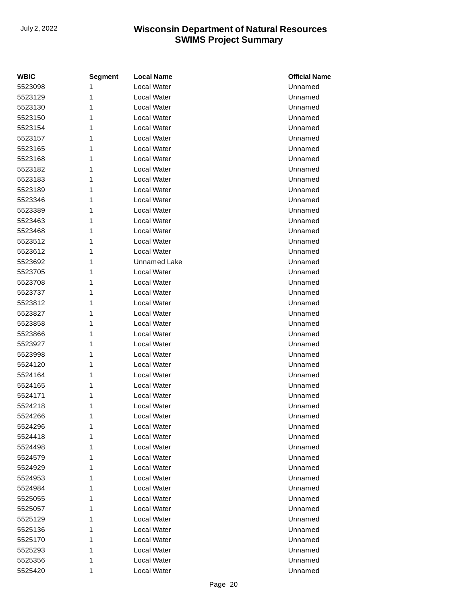| <b>WBIC</b> | <b>Segment</b> | <b>Local Name</b>   | <b>Official Name</b> |
|-------------|----------------|---------------------|----------------------|
| 5523098     | 1              | Local Water         | Unnamed              |
| 5523129     | 1              | Local Water         | Unnamed              |
| 5523130     | 1              | Local Water         | Unnamed              |
| 5523150     | 1              | Local Water         | Unnamed              |
| 5523154     | 1              | Local Water         | Unnamed              |
| 5523157     | 1              | Local Water         | Unnamed              |
| 5523165     | 1              | Local Water         | Unnamed              |
| 5523168     | 1              | Local Water         | Unnamed              |
| 5523182     | 1              | Local Water         | Unnamed              |
| 5523183     | 1              | Local Water         | Unnamed              |
| 5523189     | 1              | Local Water         | Unnamed              |
| 5523346     | 1              | Local Water         | Unnamed              |
| 5523389     | 1              | Local Water         | Unnamed              |
| 5523463     | 1              | Local Water         | Unnamed              |
| 5523468     | 1              | Local Water         | Unnamed              |
| 5523512     | 1              | Local Water         | Unnamed              |
| 5523612     | 1              | Local Water         | Unnamed              |
| 5523692     | 1              | <b>Unnamed Lake</b> | Unnamed              |
| 5523705     | 1              | Local Water         | Unnamed              |
| 5523708     | 1              | Local Water         | Unnamed              |
| 5523737     | 1              | Local Water         | Unnamed              |
| 5523812     | 1              | Local Water         | Unnamed              |
| 5523827     | 1              | Local Water         | Unnamed              |
| 5523858     | 1              | Local Water         | Unnamed              |
| 5523866     | 1              | Local Water         | Unnamed              |
| 5523927     | 1              | Local Water         | Unnamed              |
| 5523998     | 1              | Local Water         | Unnamed              |
| 5524120     | 1              | Local Water         | Unnamed              |
| 5524164     | 1              | Local Water         | Unnamed              |
| 5524165     | 1              | Local Water         | Unnamed              |
| 5524171     | 1              | Local Water         | Unnamed              |
| 5524218     | 1              | Local Water         | Unnamed              |
| 5524266     | 1              | Local Water         | Unnamed              |
| 5524296     | 1              | Local Water         | Unnamed              |
| 5524418     | 1              | Local Water         | Unnamed              |
| 5524498     | 1              | Local Water         | Unnamed              |
| 5524579     | 1              | Local Water         | Unnamed              |
| 5524929     | 1              | Local Water         | Unnamed              |
| 5524953     | 1              | Local Water         | Unnamed              |
| 5524984     | 1              | Local Water         | Unnamed              |
| 5525055     | 1              | Local Water         | Unnamed              |
| 5525057     | 1              | Local Water         | Unnamed              |
| 5525129     | 1              | Local Water         | Unnamed              |
| 5525136     | 1              | Local Water         | Unnamed              |
| 5525170     | 1              | Local Water         | Unnamed              |
| 5525293     | 1              | Local Water         | Unnamed              |
| 5525356     | 1              | Local Water         | Unnamed              |
| 5525420     | 1              | Local Water         | Unnamed              |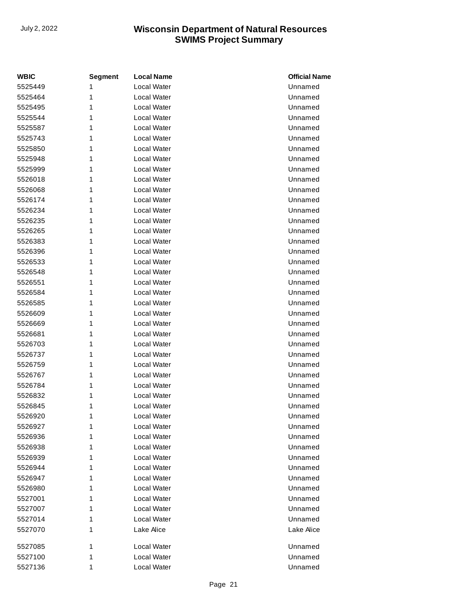| <b>WBIC</b> | <b>Segment</b> | <b>Local Name</b> | <b>Official Name</b> |
|-------------|----------------|-------------------|----------------------|
| 5525449     | 1              | Local Water       | Unnamed              |
| 5525464     | 1              | Local Water       | Unnamed              |
| 5525495     | 1              | Local Water       | Unnamed              |
| 5525544     | 1              | Local Water       | Unnamed              |
| 5525587     | 1              | Local Water       | Unnamed              |
| 5525743     | 1              | Local Water       | Unnamed              |
| 5525850     | 1              | Local Water       | Unnamed              |
| 5525948     | 1              | Local Water       | Unnamed              |
| 5525999     | 1              | Local Water       | Unnamed              |
| 5526018     | 1              | Local Water       | Unnamed              |
| 5526068     | 1              | Local Water       | Unnamed              |
| 5526174     | 1              | Local Water       | Unnamed              |
| 5526234     | 1              | Local Water       | Unnamed              |
| 5526235     | 1              | Local Water       | Unnamed              |
| 5526265     | 1              | Local Water       | Unnamed              |
| 5526383     | 1              | Local Water       | Unnamed              |
| 5526396     | 1              | Local Water       | Unnamed              |
| 5526533     | 1              | Local Water       | Unnamed              |
| 5526548     | 1              | Local Water       | Unnamed              |
| 5526551     | 1              | Local Water       | Unnamed              |
| 5526584     | 1              | Local Water       | Unnamed              |
| 5526585     | 1              | Local Water       | Unnamed              |
| 5526609     | 1              | Local Water       | Unnamed              |
| 5526669     | 1              | Local Water       | Unnamed              |
| 5526681     | 1              | Local Water       | Unnamed              |
| 5526703     | 1              | Local Water       | Unnamed              |
| 5526737     | 1              | Local Water       | Unnamed              |
| 5526759     | 1              | Local Water       | Unnamed              |
| 5526767     | 1              | Local Water       | Unnamed              |
| 5526784     | 1              | Local Water       | Unnamed              |
| 5526832     | 1              | Local Water       | Unnamed              |
| 5526845     | 1              | Local Water       | Unnamed              |
| 5526920     | 1              | Local Water       | Unnamed              |
| 5526927     | 1              | Local Water       | Unnamed              |
| 5526936     | 1              | Local Water       | Unnamed              |
| 5526938     | 1              | Local Water       | Unnamed              |
| 5526939     | 1              | Local Water       | Unnamed              |
| 5526944     | 1              | Local Water       | Unnamed              |
| 5526947     | 1              | Local Water       | Unnamed              |
| 5526980     | 1              | Local Water       | Unnamed              |
| 5527001     | 1              | Local Water       | Unnamed              |
| 5527007     | 1              | Local Water       | Unnamed              |
| 5527014     | 1              | Local Water       | Unnamed              |
| 5527070     | 1              | Lake Alice        | Lake Alice           |
| 5527085     | 1              | Local Water       | Unnamed              |
| 5527100     | 1              | Local Water       | Unnamed              |
| 5527136     | 1              | Local Water       | Unnamed              |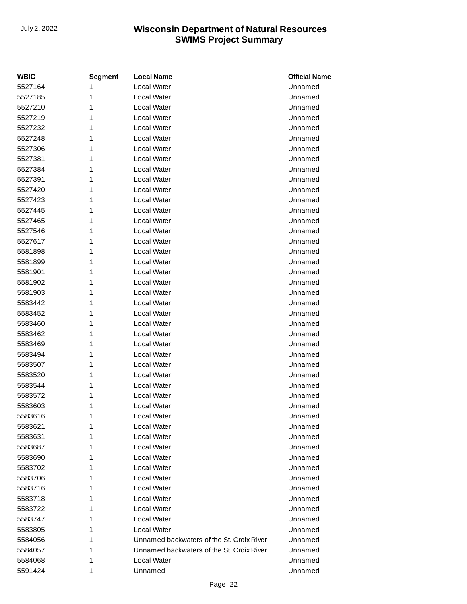| <b>WBIC</b> | <b>Segment</b> | <b>Local Name</b>                         | <b>Official Name</b> |
|-------------|----------------|-------------------------------------------|----------------------|
| 5527164     | 1              | Local Water                               | Unnamed              |
| 5527185     | 1              | Local Water                               | Unnamed              |
| 5527210     | 1              | Local Water                               | Unnamed              |
| 5527219     | 1              | Local Water                               | Unnamed              |
| 5527232     | 1              | Local Water                               | Unnamed              |
| 5527248     | 1              | Local Water                               | Unnamed              |
| 5527306     | 1              | Local Water                               | Unnamed              |
| 5527381     | 1              | Local Water                               | Unnamed              |
| 5527384     | 1              | Local Water                               | Unnamed              |
| 5527391     | 1              | Local Water                               | Unnamed              |
| 5527420     | 1              | Local Water                               | Unnamed              |
| 5527423     | 1              | Local Water                               | Unnamed              |
| 5527445     | 1              | Local Water                               | Unnamed              |
| 5527465     | 1              | Local Water                               | Unnamed              |
| 5527546     | 1              | Local Water                               | Unnamed              |
| 5527617     | 1              | Local Water                               | Unnamed              |
| 5581898     | 1              | Local Water                               | Unnamed              |
| 5581899     | 1              | Local Water                               | Unnamed              |
| 5581901     | 1              | Local Water                               | Unnamed              |
| 5581902     | 1              | Local Water                               | Unnamed              |
| 5581903     | 1              | Local Water                               | Unnamed              |
| 5583442     | 1              | Local Water                               | Unnamed              |
| 5583452     | 1              | Local Water                               | Unnamed              |
| 5583460     | 1              | Local Water                               | Unnamed              |
| 5583462     | 1              | Local Water                               | Unnamed              |
| 5583469     | 1              | Local Water                               | Unnamed              |
| 5583494     | 1              | Local Water                               | Unnamed              |
| 5583507     | 1              | Local Water                               | Unnamed              |
| 5583520     | 1              | Local Water                               | Unnamed              |
| 5583544     | 1              | Local Water                               | Unnamed              |
| 5583572     | 1              | Local Water                               | Unnamed              |
| 5583603     | 1              | Local Water                               | Unnamed              |
| 5583616     | 1              | Local Water                               | Unnamed              |
| 5583621     | 1              | Local Water                               | Unnamed              |
| 5583631     | 1              | Local Water                               | Unnamed              |
| 5583687     | 1              | Local Water                               | Unnamed              |
| 5583690     | 1              | Local Water                               | Unnamed              |
| 5583702     | 1              | Local Water                               | Unnamed              |
| 5583706     | 1              | Local Water                               | Unnamed              |
| 5583716     | 1              | Local Water                               | Unnamed              |
| 5583718     | 1              | Local Water                               | Unnamed              |
| 5583722     | 1              | Local Water                               | Unnamed              |
| 5583747     | 1              | Local Water                               | Unnamed              |
| 5583805     | 1              | Local Water                               | Unnamed              |
| 5584056     | 1              | Unnamed backwaters of the St. Croix River | Unnamed              |
| 5584057     | 1              | Unnamed backwaters of the St. Croix River | Unnamed              |
| 5584068     | 1              | Local Water                               | Unnamed              |
| 5591424     | 1              | Unnamed                                   | Unnamed              |